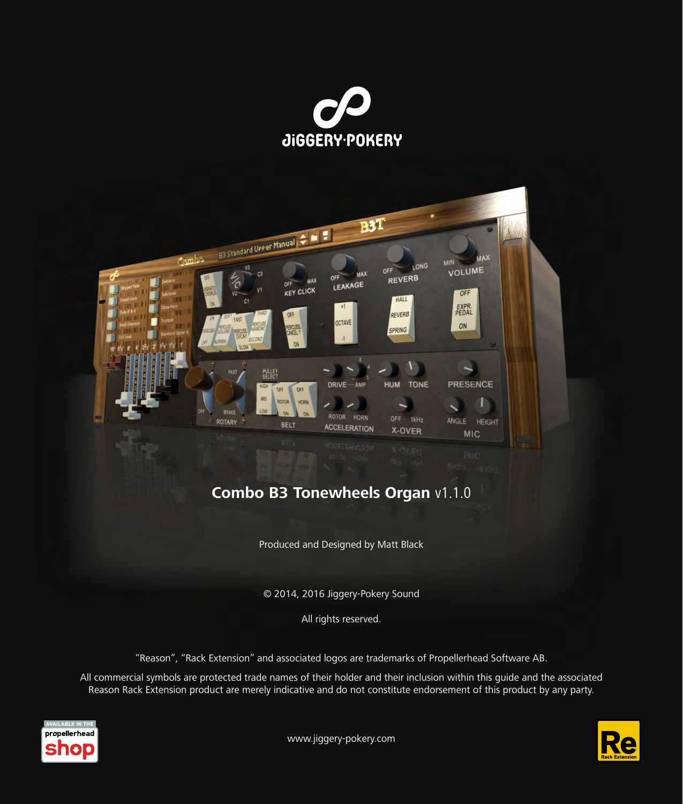



Produced and Designed by Matt Black

© 2014, 2016 Jiggery-Pokery Sound

All rights reserved.

"Reason", "Rack Extension" and associated logos are trademarks of Propellerhead Software AB.

All commercial symbols are protected trade names of their holder and their inclusion within this guide and the associated Reason Rack Extension product are merely indicative and do not constitute endorsement of this product by any party.



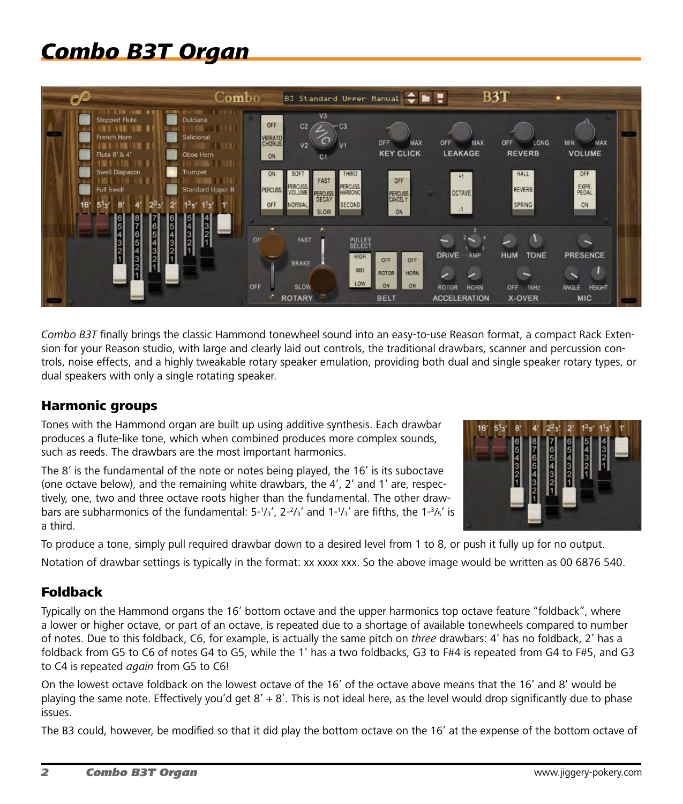# *Combo B3T Organ*



*Combo B3T* finally brings the classic Hammond tonewheel sound into an easy-to-use Reason format, a compact Rack Extension for your Reason studio, with large and clearly laid out controls, the traditional drawbars, scanner and percussion controls, noise effects, and a highly tweakable rotary speaker emulation, providing both dual and single speaker rotary types, or dual speakers with only a single rotating speaker.

## Harmonic groups

Tones with the Hammond organ are built up using additive synthesis. Each drawbar produces a flute-like tone, which when combined produces more complex sounds, such as reeds. The drawbars are the most important harmonics.

The 8' is the fundamental of the note or notes being played, the 16' is its suboctave (one octave below), and the remaining white drawbars, the 4', 2' and 1' are, respectively, one, two and three octave roots higher than the fundamental. The other drawbars are subharmonics of the fundamental:  $5\frac{1}{3}$ ,  $2\frac{2}{3}$  and  $1\frac{1}{3}$  are fifths, the  $1\frac{3}{5}$  is a third.



To produce a tone, simply pull required drawbar down to a desired level from 1 to 8, or push it fully up for no output. Notation of drawbar settings is typically in the format: xx xxxx xxx. So the above image would be written as 00 6876 540.

## Foldback

Typically on the Hammond organs the 16' bottom octave and the upper harmonics top octave feature "foldback", where a lower or higher octave, or part of an octave, is repeated due to a shortage of available tonewheels compared to number of notes. Due to this foldback, C6, for example, is actually the same pitch on *three* drawbars: 4' has no foldback, 2' has a foldback from G5 to C6 of notes G4 to G5, while the 1' has a two foldbacks, G3 to F#4 is repeated from G4 to F#5, and G3 to C4 is repeated *again* from G5 to C6!

On the lowest octave foldback on the lowest octave of the 16' of the octave above means that the 16' and 8' would be playing the same note. Effectively you'd get  $8' + 8'$ . This is not ideal here, as the level would drop significantly due to phase issues.

The B3 could, however, be modified so that it did play the bottom octave on the 16' at the expense of the bottom octave of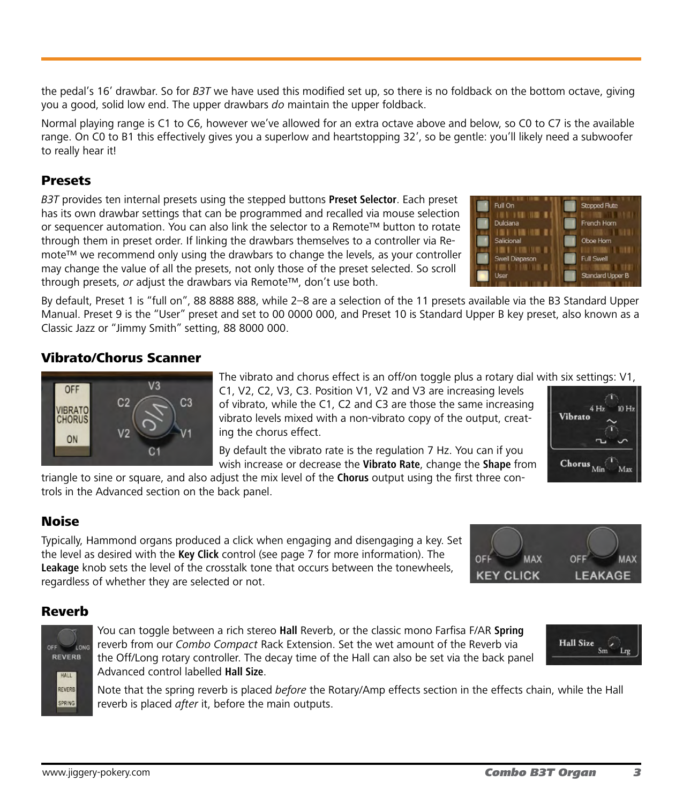the pedal's 16' drawbar. So for *B3T* we have used this modified set up, so there is no foldback on the bottom octave, giving you a good, solid low end. The upper drawbars *do* maintain the upper foldback.

Normal playing range is C1 to C6, however we've allowed for an extra octave above and below, so C0 to C7 is the available range. On C0 to B1 this effectively gives you a superlow and heartstopping 32', so be gentle: you'll likely need a subwoofer to really hear it!

## Presets

*B3T* provides ten internal presets using the stepped buttons **Preset Selector**. Each preset has its own drawbar settings that can be programmed and recalled via mouse selection or sequencer automation. You can also link the selector to a Remote™ button to rotate through them in preset order. If linking the drawbars themselves to a controller via Remote™ we recommend only using the drawbars to change the levels, as your controller may change the value of all the presets, not only those of the preset selected. So scroll through presets, *or* adjust the drawbars via Remote™, don't use both.



By default, Preset 1 is "full on", 88 8888 888, while 2–8 are a selection of the 11 presets available via the B3 Standard Upper Manual. Preset 9 is the "User" preset and set to 00 0000 000, and Preset 10 is Standard Upper B key preset, also known as a Classic Jazz or "Jimmy Smith" setting, 88 8000 000.

# Vibrato/Chorus Scanner



The vibrato and chorus effect is an off/on toggle plus a rotary dial with six settings: V1,

C1, V2, C2, V3, C3. Position V1, V2 and V3 are increasing levels of vibrato, while the C1, C2 and C3 are those the same increasing vibrato levels mixed with a non-vibrato copy of the output, creating the chorus effect.

By default the vibrato rate is the regulation 7 Hz. You can if you wish increase or decrease the **Vibrato Rate**, change the **Shape** from



triangle to sine or square, and also adjust the mix level of the **Chorus** output using the first three controls in the Advanced section on the back panel.

# Noise

Typically, Hammond organs produced a click when engaging and disengaging a key. Set the level as desired with the **Key Click** control (see page 7 for more information). The **Leakage** knob sets the level of the crosstalk tone that occurs between the tonewheels, regardless of whether they are selected or not.



**Hall Size** 

 $Sm$ Lrg

# Reverb



You can toggle between a rich stereo **Hall** Reverb, or the classic mono Farfisa F/AR **Spring** reverb from our *Combo Compact* Rack Extension. Set the wet amount of the Reverb via the Off/Long rotary controller. The decay time of the Hall can also be set via the back panel Advanced control labelled **Hall Size**.

Note that the spring reverb is placed *before* the Rotary/Amp effects section in the effects chain, while the Hall reverb is placed *after* it, before the main outputs.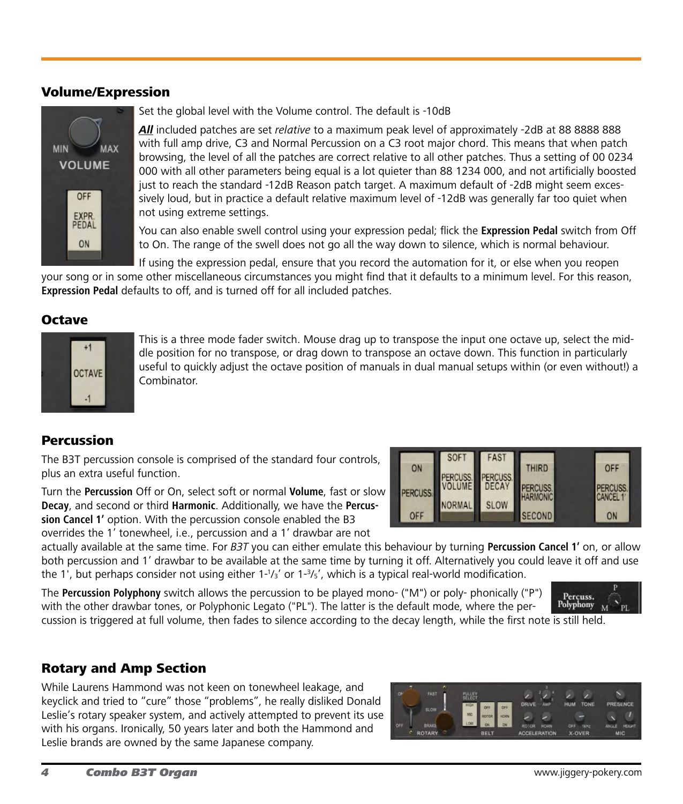#### Volume/Expression



Set the global level with the Volume control. The default is -10dB

*All* included patches are set *relative* to a maximum peak level of approximately -2dB at 88 8888 888 with full amp drive, C3 and Normal Percussion on a C3 root major chord. This means that when patch browsing, the level of all the patches are correct relative to all other patches. Thus a setting of 00 0234 000 with all other parameters being equal is a lot quieter than 88 1234 000, and not artificially boosted just to reach the standard -12dB Reason patch target. A maximum default of -2dB might seem excessively loud, but in practice a default relative maximum level of -12dB was generally far too quiet when not using extreme settings.

You can also enable swell control using your expression pedal; flick the **Expression Pedal** switch from Off to On. The range of the swell does not go all the way down to silence, which is normal behaviour.

If using the expression pedal, ensure that you record the automation for it, or else when you reopen your song or in some other miscellaneous circumstances you might find that it defaults to a minimum level. For this reason, **Expression Pedal** defaults to off, and is turned off for all included patches.

## **Octave**



This is a three mode fader switch. Mouse drag up to transpose the input one octave up, select the middle position for no transpose, or drag down to transpose an octave down. This function in particularly useful to quickly adjust the octave position of manuals in dual manual setups within (or even without!) a Combinator.

#### Percussion

The B3T percussion console is comprised of the standard four controls, plus an extra useful function.

Turn the **Percussion** Off or On, select soft or normal **Volume**, fast or slow **Decay**, and second or third **Harmonic**. Additionally, we have the **Percussion Cancel 1'** option. With the percussion console enabled the B3 overrides the 1' tonewheel, i.e., percussion and a 1' drawbar are not



FAS

SOF<sub>1</sub>

actually available at the same time. For *B3T* you can either emulate this behaviour by turning **Percussion Cancel 1'** on, or allow both percussion and 1' drawbar to be available at the same time by turning it off. Alternatively you could leave it off and use the 1', but perhaps consider not using either  $1$ -1/<sub>3</sub>' or  $1$ -3/<sub>5</sub>', which is a typical real-world modification.

The **Percussion Polyphony** switch allows the percussion to be played mono- ("M") or poly- phonically ("P") with the other drawbar tones, or Polyphonic Legato ("PL"). The latter is the default mode, where the per-



cussion is triggered at full volume, then fades to silence according to the decay length, while the first note is still held.

## Rotary and Amp Section

While Laurens Hammond was not keen on tonewheel leakage, and keyclick and tried to "cure" those "problems", he really disliked Donald Leslie's rotary speaker system, and actively attempted to prevent its use with his organs. Ironically, 50 years later and both the Hammond and Leslie brands are owned by the same Japanese company.

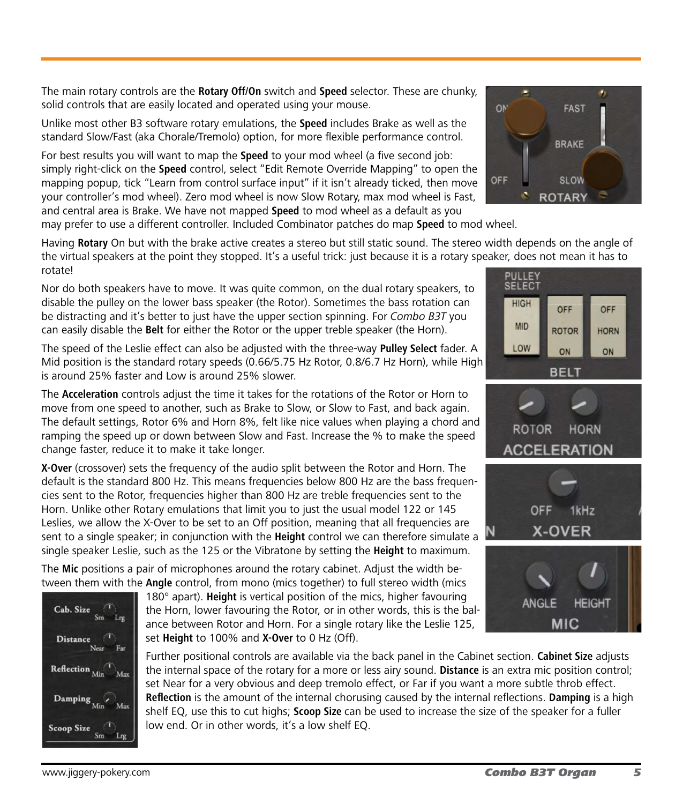The main rotary controls are the **Rotary Off/On** switch and **Speed** selector. These are chunky, solid controls that are easily located and operated using your mouse.

Unlike most other B3 software rotary emulations, the **Speed** includes Brake as well as the standard Slow/Fast (aka Chorale/Tremolo) option, for more flexible performance control.

For best results you will want to map the **Speed** to your mod wheel (a five second job: simply right-click on the **Speed** control, select "Edit Remote Override Mapping" to open the mapping popup, tick "Learn from control surface input" if it isn't already ticked, then move your controller's mod wheel). Zero mod wheel is now Slow Rotary, max mod wheel is Fast, and central area is Brake. We have not mapped **Speed** to mod wheel as a default as you may prefer to use a different controller. Included Combinator patches do map **Speed** to mod wheel.

Having **Rotary** On but with the brake active creates a stereo but still static sound. The stereo width depends on the angle of the virtual speakers at the point they stopped. It's a useful trick: just because it is a rotary speaker, does not mean it has to rotate! PULLEY

Nor do both speakers have to move. It was quite common, on the dual rotary speakers, to disable the pulley on the lower bass speaker (the Rotor). Sometimes the bass rotation can be distracting and it's better to just have the upper section spinning. For *Combo B3T* you can easily disable the **Belt** for either the Rotor or the upper treble speaker (the Horn).

The speed of the Leslie effect can also be adjusted with the three-way **Pulley Select** fader. A Mid position is the standard rotary speeds (0.66/5.75 Hz Rotor, 0.8/6.7 Hz Horn), while High is around 25% faster and Low is around 25% slower.

The **Acceleration** controls adjust the time it takes for the rotations of the Rotor or Horn to move from one speed to another, such as Brake to Slow, or Slow to Fast, and back again. The default settings, Rotor 6% and Horn 8%, felt like nice values when playing a chord and ramping the speed up or down between Slow and Fast. Increase the % to make the speed change faster, reduce it to make it take longer.

**X-Over** (crossover) sets the frequency of the audio split between the Rotor and Horn. The default is the standard 800 Hz. This means frequencies below 800 Hz are the bass frequencies sent to the Rotor, frequencies higher than 800 Hz are treble frequencies sent to the Horn. Unlike other Rotary emulations that limit you to just the usual model 122 or 145 Leslies, we allow the X-Over to be set to an Off position, meaning that all frequencies are sent to a single speaker; in conjunction with the **Height** control we can therefore simulate a single speaker Leslie, such as the 125 or the Vibratone by setting the **Height** to maximum.

The **Mic** positions a pair of microphones around the rotary cabinet. Adjust the width between them with the **Angle** control, from mono (mics together) to full stereo width (mics



180° apart). **Height** is vertical position of the mics, higher favouring the Horn, lower favouring the Rotor, or in other words, this is the balance between Rotor and Horn. For a single rotary like the Leslie 125, set **Height** to 100% and **X-Over** to 0 Hz (Off).

Further positional controls are available via the back panel in the Cabinet section. **Cabinet Size** adjusts the internal space of the rotary for a more or less airy sound. **Distance** is an extra mic position control; set Near for a very obvious and deep tremolo effect, or Far if you want a more subtle throb effect. **Reflection** is the amount of the internal chorusing caused by the internal reflections. **Damping** is a high shelf EQ, use this to cut highs; **Scoop Size** can be used to increase the size of the speaker for a fuller low end. Or in other words, it's a low shelf EQ.



SELECT **HIGH** 



**MIC**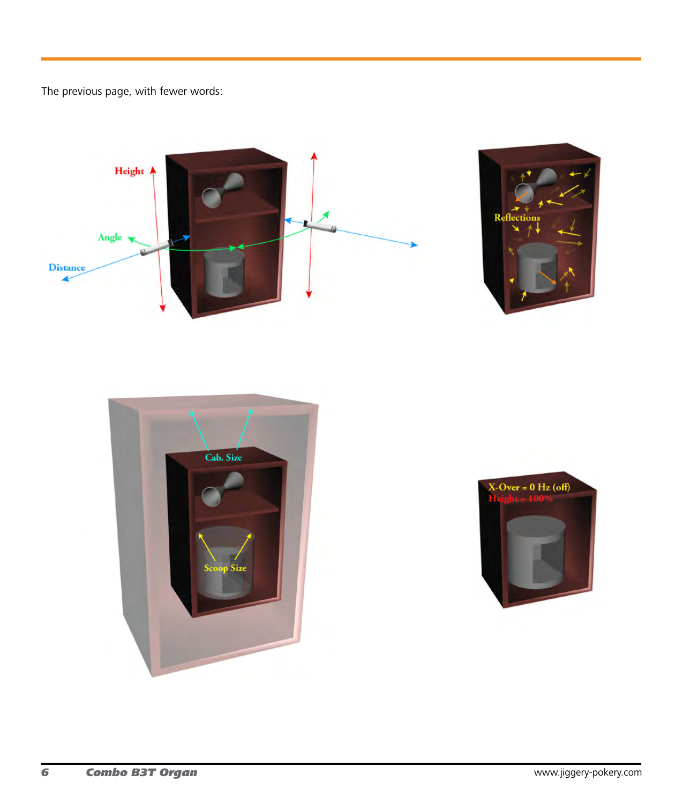The previous page, with fewer words:





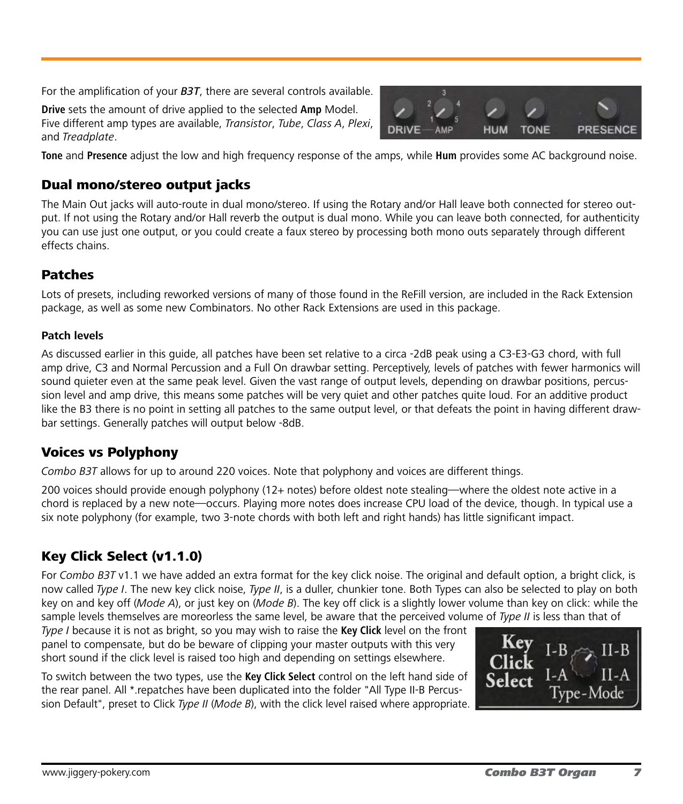For the amplification of your *B3T*, there are several controls available.

**Drive** sets the amount of drive applied to the selected **Amp** Model. Five different amp types are available, *Transistor*, *Tube*, *Class A*, *Plexi*, and *Treadplate*.



**Tone** and **Presence** adjust the low and high frequency response of the amps, while **Hum** provides some AC background noise.

# Dual mono/stereo output jacks

The Main Out jacks will auto-route in dual mono/stereo. If using the Rotary and/or Hall leave both connected for stereo output. If not using the Rotary and/or Hall reverb the output is dual mono. While you can leave both connected, for authenticity you can use just one output, or you could create a faux stereo by processing both mono outs separately through different effects chains.

# Patches

Lots of presets, including reworked versions of many of those found in the ReFill version, are included in the Rack Extension package, as well as some new Combinators. No other Rack Extensions are used in this package.

#### **Patch levels**

As discussed earlier in this guide, all patches have been set relative to a circa -2dB peak using a C3-E3-G3 chord, with full amp drive, C3 and Normal Percussion and a Full On drawbar setting. Perceptively, levels of patches with fewer harmonics will sound quieter even at the same peak level. Given the vast range of output levels, depending on drawbar positions, percussion level and amp drive, this means some patches will be very quiet and other patches quite loud. For an additive product like the B3 there is no point in setting all patches to the same output level, or that defeats the point in having different drawbar settings. Generally patches will output below -8dB.

# Voices vs Polyphony

*Combo B3T* allows for up to around 220 voices. Note that polyphony and voices are different things.

200 voices should provide enough polyphony (12+ notes) before oldest note stealing—where the oldest note active in a chord is replaced by a new note—occurs. Playing more notes does increase CPU load of the device, though. In typical use a six note polyphony (for example, two 3-note chords with both left and right hands) has little significant impact.

# Key Click Select (v1.1.0)

For *Combo B3T* v1.1 we have added an extra format for the key click noise. The original and default option, a bright click, is now called *Type I*. The new key click noise, *Type II*, is a duller, chunkier tone. Both Types can also be selected to play on both key on and key off (*Mode A*), or just key on (*Mode B*). The key off click is a slightly lower volume than key on click: while the sample levels themselves are moreorless the same level, be aware that the perceived volume of *Type II* is less than that of

*Type I* because it is not as bright, so you may wish to raise the **Key Click** level on the front panel to compensate, but do be beware of clipping your master outputs with this very short sound if the click level is raised too high and depending on settings elsewhere.

To switch between the two types, use the **Key Click Select** control on the left hand side of the rear panel. All \*.repatches have been duplicated into the folder "All Type II-B Percussion Default", preset to Click *Type II* (*Mode B*), with the click level raised where appropriate.

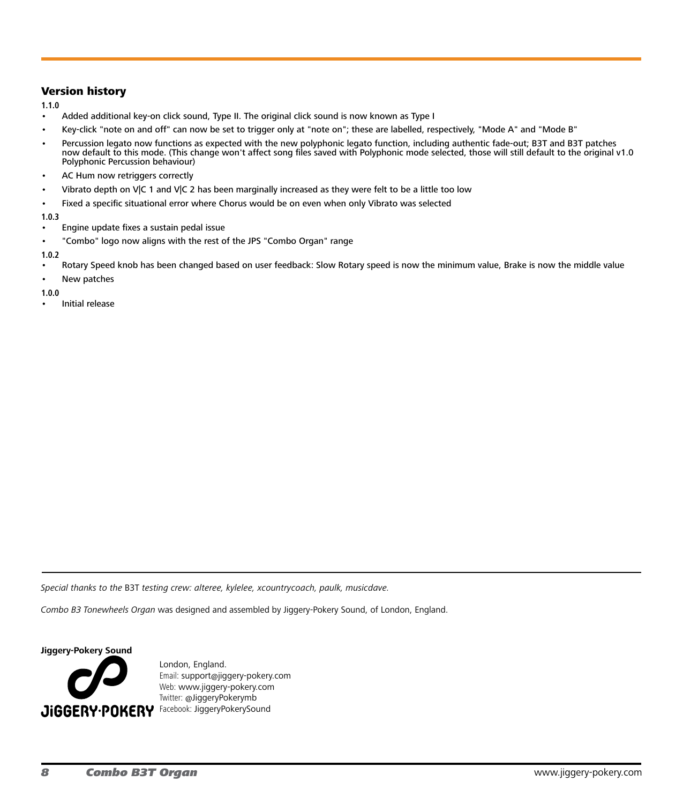#### Version history

**1.1.0**

- Added additional key-on click sound, Type II. The original click sound is now known as Type I
- Key-click "note on and off" can now be set to trigger only at "note on"; these are labelled, respectively, "Mode A" and "Mode B"
- Percussion legato now functions as expected with the new polyphonic legato function, including authentic fade-out; B3T and B3T patches now default to this mode. (This change won't affect song files saved with Polyphonic mode selected, those will still default to the original v1.0 Polyphonic Percussion behaviour)
- AC Hum now retriggers correctly
- Vibrato depth on V|C 1 and V|C 2 has been marginally increased as they were felt to be a little too low
- Fixed a specific situational error where Chorus would be on even when only Vibrato was selected

**1.0.3**

- Engine update fixes a sustain pedal issue
- "Combo" logo now aligns with the rest of the JPS "Combo Organ" range

**1.0.2**

- Rotary Speed knob has been changed based on user feedback: Slow Rotary speed is now the minimum value, Brake is now the middle value
- New patches

**1.0.0**

Initial release

*Special thanks to the* B3T *testing crew: alteree, kylelee, xcountrycoach, paulk, musicdave.*

*Combo B3 Tonewheels Organ* was designed and assembled by Jiggery-Pokery Sound, of London, England.

**Jiggery-Pokery Sound**



London, England. Email: support[@j](mailto:contact%40pitchblende.co.nz?subject=)iggery-pokery.com Web: [www.j](http://www.pitchblende.co.nz)iggery-pokery.com Twitter: @JiggeryPokerymb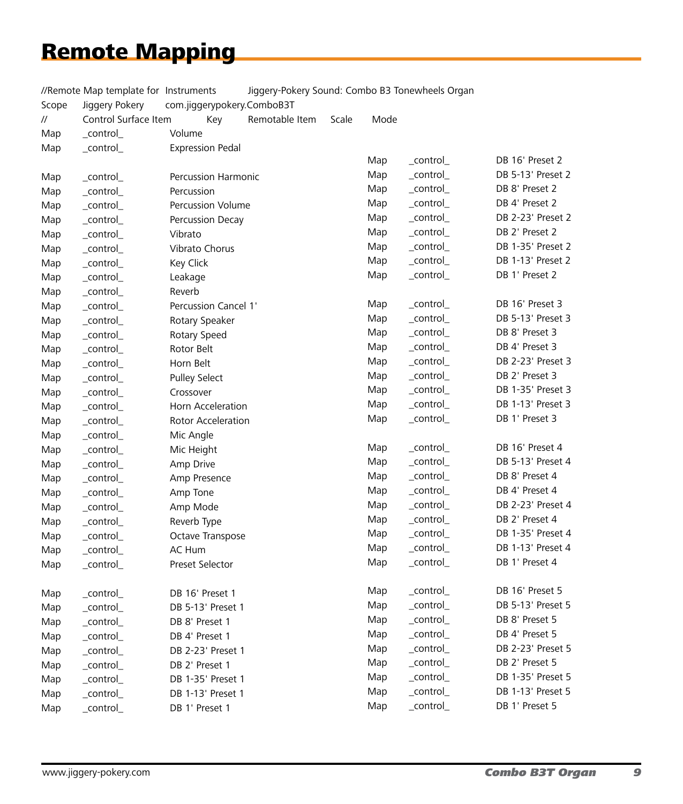# Remote Mapping

|       | //Remote Map template for Instruments |                            |  |                |       |           | Jiggery-Pokery Sound: Combo B3 Tonewheels Organ |                   |
|-------|---------------------------------------|----------------------------|--|----------------|-------|-----------|-------------------------------------------------|-------------------|
| Scope | Jiggery Pokery                        | com.jiggerypokery.ComboB3T |  |                |       |           |                                                 |                   |
| //    | Control Surface Item                  | Key                        |  | Remotable Item | Scale | Mode      |                                                 |                   |
| Map   | _control_                             | Volume                     |  |                |       |           |                                                 |                   |
| Map   | _control_                             | <b>Expression Pedal</b>    |  |                |       |           |                                                 |                   |
|       |                                       |                            |  |                |       | Map       | _control_                                       | DB 16' Preset 2   |
| Map   | $_{\rm \_control_{\rm \_}}$           | Percussion Harmonic        |  |                |       | Map       | _control_                                       | DB 5-13' Preset 2 |
| Map   | _control_                             | Percussion                 |  |                |       | Map       | _control_                                       | DB 8' Preset 2    |
| Map   | _control_                             | Percussion Volume          |  |                |       | Map       | _control_                                       | DB 4' Preset 2    |
| Map   | _control_                             | Percussion Decay           |  |                |       | Map       | _control_                                       | DB 2-23' Preset 2 |
| Map   | _control_                             | Vibrato                    |  |                |       | Map       | _control_                                       | DB 2' Preset 2    |
| Map   | _control_                             | Vibrato Chorus             |  |                |       | Map       | _control_                                       | DB 1-35' Preset 2 |
| Map   | _control_                             | Key Click                  |  |                |       | Map       | _control_                                       | DB 1-13' Preset 2 |
| Map   | _control_                             | Leakage                    |  |                |       | Map       | _control_                                       | DB 1' Preset 2    |
| Map   | _control_                             | Reverb                     |  |                |       |           |                                                 |                   |
| Map   | _control_                             | Percussion Cancel 1'       |  |                |       | Map       | $_{\rm \_control_{\rm \_}}$                     | DB 16' Preset 3   |
| Map   | _control_                             | Rotary Speaker             |  |                |       | Map       | _control_                                       | DB 5-13' Preset 3 |
| Map   | _control_                             | Rotary Speed               |  |                |       | Map       | _control_                                       | DB 8' Preset 3    |
| Map   | _control_                             | Rotor Belt                 |  |                |       | Map       | _control_                                       | DB 4' Preset 3    |
| Map   | _control_                             | Horn Belt                  |  |                |       | Map       | _control_                                       | DB 2-23' Preset 3 |
| Map   | _control_                             | <b>Pulley Select</b>       |  |                |       | Map       | _control_                                       | DB 2' Preset 3    |
| Map   | _control_                             | Crossover                  |  |                |       | Map       | _control_                                       | DB 1-35' Preset 3 |
| Map   | _control_                             | Horn Acceleration          |  |                |       | Map       | _control_                                       | DB 1-13' Preset 3 |
| Map   | _control_                             | Rotor Acceleration         |  |                |       | Map       | _control_                                       | DB 1' Preset 3    |
| Map   | _control_                             | Mic Angle                  |  |                |       |           |                                                 |                   |
| Map   | _control_                             | Mic Height                 |  |                |       | Map       | _control_                                       | DB 16' Preset 4   |
| Map   | _control_                             | Amp Drive                  |  |                |       | Map       | _control_                                       | DB 5-13' Preset 4 |
| Map   | _control_                             | Amp Presence               |  |                |       | Map       | _control_                                       | DB 8' Preset 4    |
| Map   | _control_                             | Amp Tone                   |  |                |       | Map       | _control_                                       | DB 4' Preset 4    |
| Map   | _control_                             | Amp Mode                   |  |                |       | Map       | _control_                                       | DB 2-23' Preset 4 |
| Map   | _control_                             | Reverb Type                |  |                |       | Map       | _control_                                       | DB 2' Preset 4    |
| Map   | $_{\rm \_control_{\rm \_}}$           | Octave Transpose           |  |                |       | Map       | _control_                                       | DB 1-35' Preset 4 |
| Map   | _control_                             | AC Hum                     |  |                |       | Map       | _control_                                       | DB 1-13' Preset 4 |
| Map   | _control_                             | Preset Selector            |  |                |       | Map       | _control_                                       | DB 1' Preset 4    |
| Map   | _control_                             | DB 16' Preset 1            |  |                |       | Map       | $_{\rm \_control_{\rm \_}}$                     | DB 16' Preset 5   |
| Map   | _control_                             | DB 5-13' Preset 1          |  |                |       | Map       | _control_                                       | DB 5-13' Preset 5 |
| Map   | _control_                             | DB 8' Preset 1             |  |                | Map   | _control_ | DB 8' Preset 5                                  |                   |
| Map   | _control_                             | DB 4' Preset 1             |  |                |       | Map       | _control_                                       | DB 4' Preset 5    |
| Map   | _control_                             | DB 2-23' Preset 1          |  |                | Map   | _control_ | DB 2-23' Preset 5                               |                   |
| Map   | _control_                             | DB 2' Preset 1             |  |                |       | Map       | _control_                                       | DB 2' Preset 5    |
| Map   | _control_                             | DB 1-35' Preset 1          |  |                |       | Map       | _control_                                       | DB 1-35' Preset 5 |
| Map   | _control_                             | DB 1-13' Preset 1          |  |                |       | Map       | _control_                                       | DB 1-13' Preset 5 |
| Map   | _control_                             | DB 1' Preset 1             |  |                |       | Map       | _control_                                       | DB 1' Preset 5    |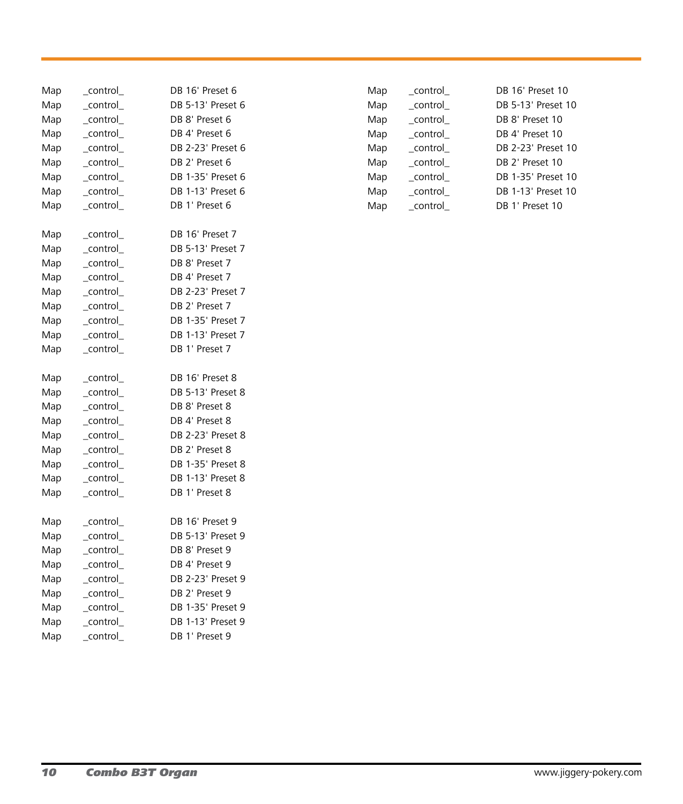| Map | _control_ | DB 16' Preset 6   |
|-----|-----------|-------------------|
| Map | _control_ | DB 5-13' Preset 6 |
| Map | control   | DB 8' Preset 6    |
| Map | control   | DB 4' Preset 6    |
| Map | control   | DB 2-23' Preset 6 |
| Map | control   | DB 2' Preset 6    |
| Map | control   | DB 1-35' Preset 6 |
| Map | control   | DB 1-13' Preset 6 |
| Map | control   | DB 1' Preset 6    |
| Map | _control_ | DB 16' Preset 7   |
| Map | control   | DB 5-13' Preset 7 |
| Map | _control_ | DB 8' Preset 7    |
| Map | _control_ | DB 4' Preset 7    |
| Map | control   | DB 2-23' Preset 7 |
| Map | control   | DB 2' Preset 7    |
| Map | control   | DB 1-35' Preset 7 |
| Map | _control_ | DB 1-13' Preset 7 |
| Map | control   | DB 1' Preset 7    |
| Map | _control_ | DB 16' Preset 8   |
| Map | _control_ | DB 5-13' Preset 8 |
| Map | _control_ | DB 8' Preset 8    |
| Map | _control_ | DB 4' Preset 8    |
| Map | control   | DB 2-23' Preset 8 |
| Map | control   | DB 2' Preset 8    |
| Map | control   | DB 1-35' Preset 8 |
| Map | control   | DB 1-13' Preset 8 |
| Map | control   | DB 1' Preset 8    |
| Map | _control_ | DB 16' Preset 9   |
| Map | control   | DB 5-13' Preset 9 |
| Map | control   | DB 8' Preset 9    |
| Map | _control_ | DB 4' Preset 9    |
| Map | _control_ | DB 2-23' Preset 9 |
| Map | _control_ | DB 2' Preset 9    |
| Map | control   | DB 1-35' Preset 9 |
| Map |           |                   |
|     | control   | DB 1-13' Preset 9 |

| Map | control | DB 16' Preset 10   |
|-----|---------|--------------------|
| Map | control | DB 5-13' Preset 10 |
| Map | control | DB 8' Preset 10    |
| Map | control | DB 4' Preset 10    |
| Map | control | DB 2-23' Preset 10 |
| Map | control | DB 2' Preset 10    |
| Map | control | DB 1-35' Preset 10 |
| Map | control | DB 1-13' Preset 10 |
| Map | control | DB 1' Preset 10    |